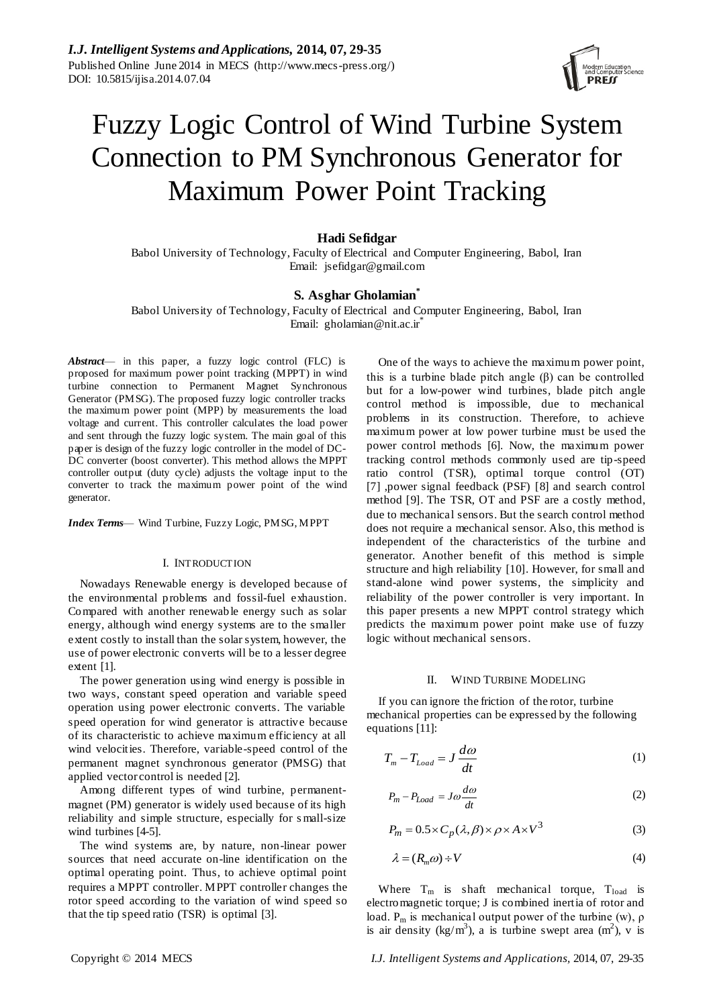

# Fuzzy Logic Control of Wind Turbine System Connection to PM Synchronous Generator for Maximum Power Point Tracking

## **Hadi Sefidgar**

Babol University of Technology, Faculty of Electrical and Computer Engineering, Babol, Iran Email: jsefidgar@gmail.com

## **S. Asghar Gholamian\***

Babol University of Technology, Faculty of Electrical and Computer Engineering, Babol, Iran Email: gholamian@nit.ac.ir<sup>\*</sup>

*Abstract*— in this paper, a fuzzy logic control (FLC) is proposed for maximum power point tracking (MPPT) in wind turbine connection to Permanent Magnet Synchronous Generator (PMSG). The proposed fuzzy logic controller tracks the maximum power point (MPP) by measurements the load voltage and current. This controller calculates the load power and sent through the fuzzy logic system. The main goal of this paper is design of the fuzzy logic controller in the model of DC-DC converter (boost converter). This method allows the MPPT controller output (duty cycle) adjusts the voltage input to the converter to track the maximum power point of the wind generator.

*Index Terms*— Wind Turbine, Fuzzy Logic, PMSG, MPPT

#### I. INTRODUCTION

Nowadays Renewable energy is developed because of the environmental problems and fossil-fuel exhaustion. Compared with another renewable energy such as solar energy, although wind energy systems are to the smaller extent costly to install than the solar system, however, the use of power electronic converts will be to a lesser degree extent [1].

The power generation using wind energy is possible in two ways, constant speed operation and variable speed operation using power electronic converts. The variable speed operation for wind generator is attractive because of its characteristic to achieve maximum efficiency at all wind velocities. Therefore, variable-speed control of the permanent magnet synchronous generator (PMSG) that applied vector control is needed [2].

Among different types of wind turbine, permanentmagnet (PM) generator is widely used because of its high reliability and simple structure, especially for s mall-size wind turbines [4-5].

The wind systems are, by nature, non-linear power sources that need accurate on-line identification on the optimal operating point. Thus, to achieve optimal point requires a MPPT controller. MPPT controller changes the rotor speed according to the variation of wind speed so that the tip speed ratio (TSR) is optimal [3].

One of the ways to achieve the maximum power point, this is a turbine blade pitch angle (β) can be controlled but for a low-power wind turbines, blade pitch angle control method is impossible, due to mechanical problems in its construction. Therefore, to achieve maximum power at low power turbine must be used the power control methods [6]. Now, the maximum power tracking control methods commonly used are tip-speed ratio control (TSR), optimal torque control (OT) [7] ,power signal feedback (PSF) [8] and search control method [9]. The TSR, OT and PSF are a costly method, due to mechanical sensors. But the search control method does not require a mechanical sensor. Also, this method is independent of the characteristics of the turbine and generator. Another benefit of this method is simple structure and high reliability [10]. However, for small and stand-alone wind power systems, the simplicity and reliability of the power controller is very important. In this paper presents a new MPPT control strategy which predicts the maximum power point make use of fuzzy logic without mechanical sensors.

#### II. WIND TURBINE MODELING

If you can ignore the friction of the rotor, turbine mechanical properties can be expressed by the following equations [11]:

$$
T_m - T_{Load} = J \frac{d\omega}{dt}
$$
 (1)

$$
P_m - P_{Load} = J\omega \frac{d\omega}{dt} \tag{2}
$$

$$
P_m = 0.5 \times C_p(\lambda, \beta) \times \rho \times A \times V^3 \tag{3}
$$

$$
\lambda = (R_m \omega) \div V \tag{4}
$$

Where  $T_m$  is shaft mechanical torque,  $T_{load}$  is electromagnetic torque; J is combined inertia of rotor and load.  $P_m$  is mechanical output power of the turbine (w),  $\rho$ is air density (kg/m<sup>3</sup>), a is turbine swept area  $(m^2)$ , v is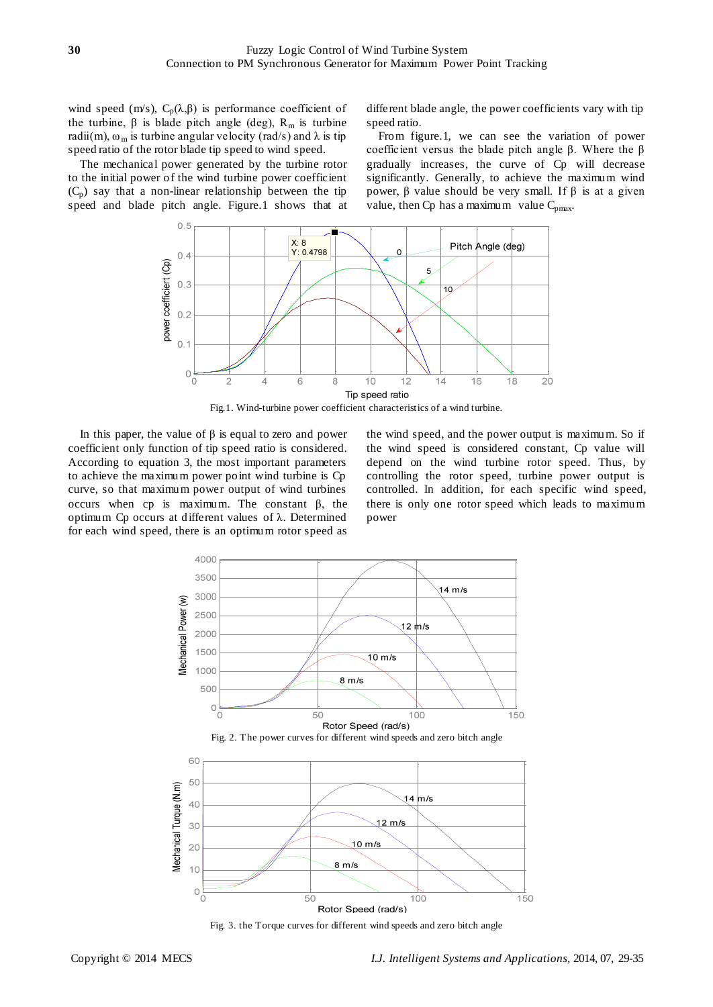wind speed (m/s),  $C_p(\lambda, \beta)$  is performance coefficient of the turbine,  $\beta$  is blade pitch angle (deg),  $R_m$  is turbine radii(m),  $\omega_m$  is turbine angular velocity (rad/s) and  $\lambda$  is tip speed ratio of the rotor blade tip speed to wind speed.

The mechanical power generated by the turbine rotor to the initial power of the wind turbine power coefficient  $(C_p)$  say that a non-linear relationship between the tip speed and blade pitch angle. Figure.1 shows that at different blade angle, the power coefficients vary with tip speed ratio.

From figure.1, we can see the variation of power coefficient versus the blade pitch angle β. Where the β gradually increases, the curve of Cp will decrease significantly. Generally, to achieve the maximum wind power, β value should be very small. If β is at a given value, then Cp has a maximum value  $C_{pmax}$ .



Fig.1. Wind-turbine power coefficient characteristics of a wind turbine.

In this paper, the value of  $β$  is equal to zero and power coefficient only function of tip speed ratio is considered. According to equation 3, the most important parameters to achieve the maximum power point wind turbine is Cp curve, so that maximum power output of wind turbines occurs when cp is maximum. The constant β, the optimum Cp occurs at different values of λ. Determined for each wind speed, there is an optimum rotor speed as

the wind speed, and the power output is maximum. So if the wind speed is considered constant, Cp value will depend on the wind turbine rotor speed. Thus, by controlling the rotor speed, turbine power output is controlled. In addition, for each specific wind speed, there is only one rotor speed which leads to maximum power



Fig. 3. the Torque curves for different wind speeds and zero bitch angle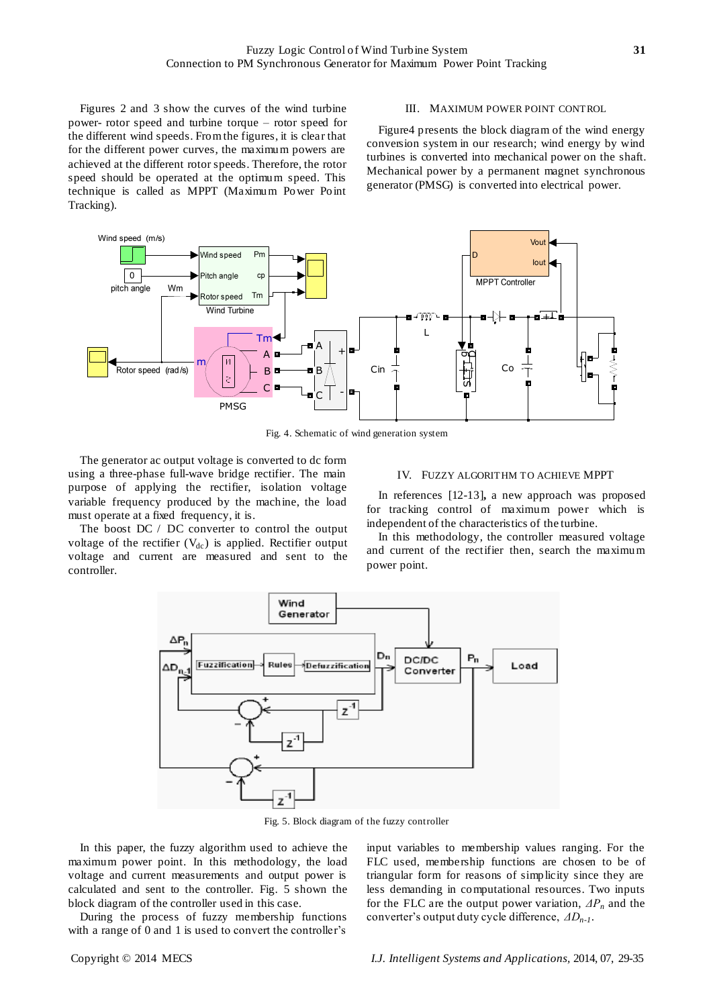Figures 2 and 3 show the curves of the wind turbine power- rotor speed and turbine torque – rotor speed for the different wind speeds. From the figures, it is clear that for the different power curves, the maximum powers are achieved at the different rotor speeds. Therefore, the rotor speed should be operated at the optimum speed. This technique is called as MPPT (Maximum Power Point Tracking).

#### III. MAXIMUM POWER POINT CONTROL

Figure4 presents the block diagram of the wind energy conversion system in our research; wind energy by wind turbines is converted into mechanical power on the shaft. Mechanical power by a permanent magnet synchronous generator (PMSG) is converted into electrical power.



Fig. 4. Schematic of wind generation system

The generator ac output voltage is converted to dc form using a three-phase full-wave bridge rectifier. The main purpose of applying the rectifier, isolation voltage variable frequency produced by the machine, the load must operate at a fixed frequency, it is.

The boost DC / DC converter to control the output voltage of the rectifier  $(V_{dc})$  is applied. Rectifier output voltage and current are measured and sent to the controller.

#### IV. FUZZY ALGORITHM TO ACHIEVE MPPT

In references [12-13]**,** a new approach was proposed for tracking control of maximum power which is independent of the characteristics of the turbine.

In this methodology, the controller measured voltage and current of the rectifier then, search the maximum power point.



Fig. 5. Block diagram of the fuzzy controller

In this paper, the fuzzy algorithm used to achieve the maximum power point. In this methodology, the load voltage and current measurements and output power is calculated and sent to the controller. Fig. 5 shown the block diagram of the controller used in this case.

During the process of fuzzy membership functions with a range of 0 and 1 is used to convert the controller's

input variables to membership values ranging. For the FLC used, membership functions are chosen to be of triangular form for reasons of simplicity since they are less demanding in computational resources. Two inputs for the FLC are the output power variation, *ΔP<sup>n</sup>* and the converter's output duty cycle difference, *ΔDn-1*.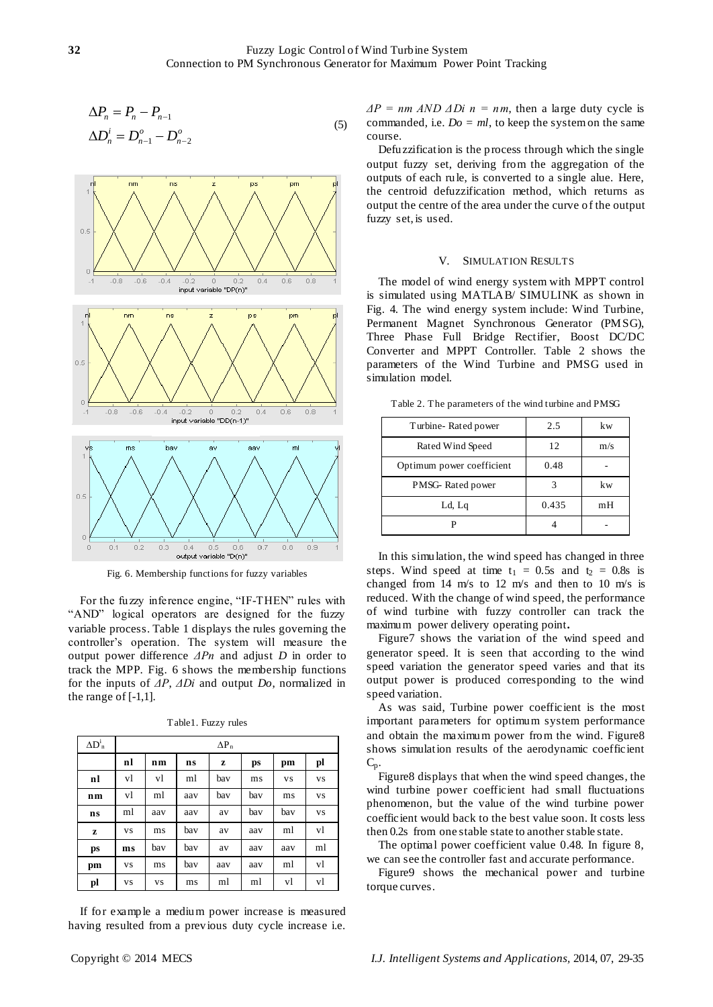$$
\Delta P_n = P_n - P_{n-1}
$$
  
\n
$$
\Delta D_n^i = D_{n-1}^o - D_{n-2}^o
$$
\n(5)



Fig. 6. Membership functions for fuzzy variables

For the fuzzy inference engine, "IF-THEN" rules with "AND" logical operators are designed for the fuzzy variable process. Table 1 displays the rules governing the controller's operation. The system will measure the output power difference *ΔPn* and adjust *D* in order to track the MPP. Fig. 6 shows the membership functions for the inputs of *ΔP*, *ΔDi* and output *Do*, normalized in the range of [-1,1].

| $\Delta D^1$ <sub>n</sub> | $\Delta P_n$ |           |     |     |     |           |           |
|---------------------------|--------------|-----------|-----|-----|-----|-----------|-----------|
|                           | nl           | nm        | ns  | z   | ps  | pm        | pl        |
| nl                        | vl           | vl        | ml  | bav | ms  | <b>VS</b> | <b>VS</b> |
| n <sub>m</sub>            | vl           | ml        | aav | bav | bav | ms        | <b>VS</b> |
| ns                        | ml           | aav       | aav | av  | bav | bav       | <b>VS</b> |
| z                         | <b>VS</b>    | ms        | bav | av  | aav | ml        | vl        |
| ps                        | ms           | bav       | bav | av  | aav | aav       | ml        |
| pm                        | <b>VS</b>    | ms        | bav | aav | aav | ml        | vl        |
| pl                        | <b>VS</b>    | <b>VS</b> | ms  | ml  | ml  | vl        | vl        |

Table1. Fuzzy rules

If for example a medium power increase is measured having resulted from a previous duty cycle increase i.e.

 $\Delta P = nm \, AND \, ADi \, n = nm$ , then a large duty cycle is commanded, i.e.  $Do = ml$ , to keep the system on the same course.

Defuzzification is the process through which the single output fuzzy set, deriving from the aggregation of the outputs of each rule, is converted to a single alue. Here, the centroid defuzzification method, which returns as output the centre of the area under the curve of the output fuzzy set, is used.

#### V. SIMULATION RESULTS

The model of wind energy system with MPPT control is simulated using MATLAB/ SIMULINK as shown in Fig. 4. The wind energy system include: Wind Turbine, Permanent Magnet Synchronous Generator (PMSG), Three Phase Full Bridge Rectifier, Boost DC/DC Converter and MPPT Controller. Table 2 shows the parameters of the Wind Turbine and PMSG used in simulation model.

Table 2. The parameters of the wind turbine and PMSG

| Turbine-Rated power       | 2.5   | kw  |
|---------------------------|-------|-----|
| Rated Wind Speed          | 12    | m/s |
| Optimum power coefficient | 0.48  |     |
| PMSG-Rated power          | 3     | kw  |
| Ld, Lq                    | 0.435 | mH  |
|                           |       |     |

In this simulation, the wind speed has changed in three steps. Wind speed at time  $t_1 = 0.5s$  and  $t_2 = 0.8s$  is changed from 14 m/s to 12 m/s and then to 10 m/s is reduced. With the change of wind speed, the performance of wind turbine with fuzzy controller can track the maximum power delivery operating point**.**

Figure7 shows the variation of the wind speed and generator speed. It is seen that according to the wind speed variation the generator speed varies and that its output power is produced corresponding to the wind speed variation.

As was said, Turbine power coefficient is the most important parameters for optimum system performance and obtain the maximum power from the wind. Figure8 shows simulation results of the aerodynamic coefficient  $C_p$ .

Figure8 displays that when the wind speed changes, the wind turbine power coefficient had small fluctuations phenomenon, but the value of the wind turbine power coefficient would back to the best value soon. It costs less then 0.2s from one stable state to another stable state.

The optimal power coefficient value 0.48. In figure 8, we can see the controller fast and accurate performance.

Figure9 shows the mechanical power and turbine torque curves.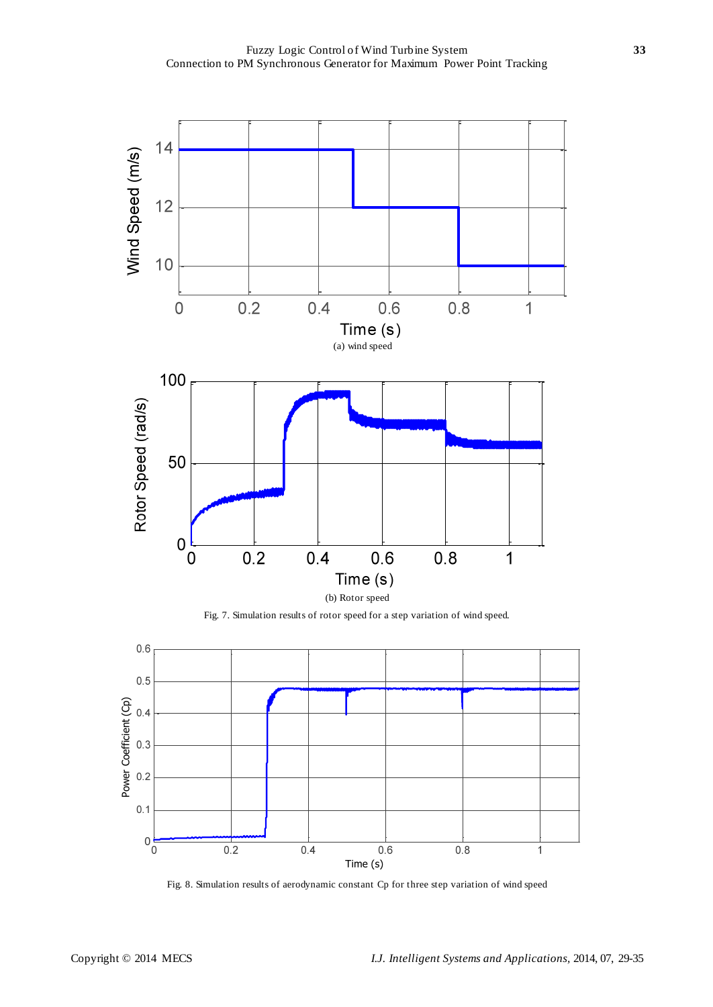

Fig. 7. Simulation results of rotor speed for a step variation of wind speed.



Fig. 8. Simulation results of aerodynamic constant Cp for three step variation of wind speed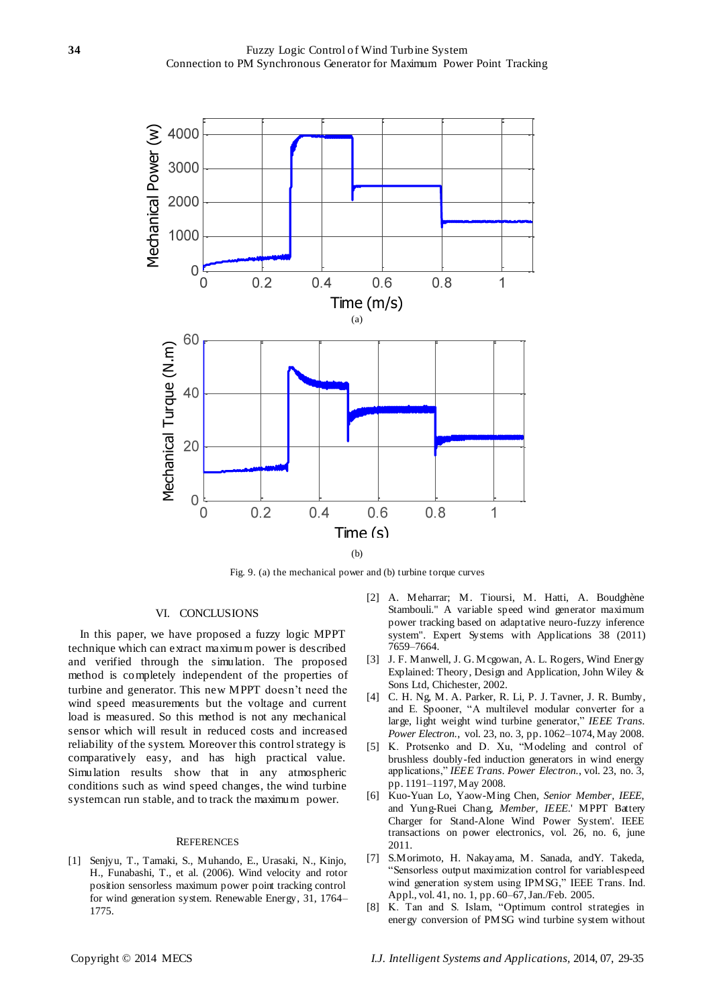

Fig. 9. (a) the mechanical power and (b) turbine torque curves

#### VI. CONCLUSIONS

In this paper, we have proposed a fuzzy logic MPPT technique which can extract maximum power is described and verified through the simulation. The proposed method is completely independent of the properties of turbine and generator. This new MPPT doesn't need the wind speed measurements but the voltage and current load is measured. So this method is not any mechanical sensor which will result in reduced costs and increased reliability of the system. Moreover this control strategy is comparatively easy, and has high practical value. Simulation results show that in any atmospheric conditions such as wind speed changes, the wind turbine system can run stable, and to track the maximum power.

#### **REFERENCES**

[1] Senjyu, T., Tamaki, S., Muhando, E., Urasaki, N., Kinjo, H., Funabashi, T., et al. (2006). Wind velocity and rotor position sensorless maximum power point tracking control for wind generation system. Renewable Energy, 31, 1764– 1775.

- [2] A. Meharrar; M. Tioursi, M. Hatti, A. Boudghène Stambouli." A variable speed wind generator maximum power tracking based on adaptative neuro-fuzzy inference system". Expert Systems with Applications 38 (2011) 7659–7664.
- [3] J. F. Manwell, J. G. Mcgowan, A. L. Rogers, Wind Energy Explained: Theory, Design and Application, John Wiley & Sons Ltd, Chichester, 2002.
- [4] C. H. Ng, M. A. Parker, R. Li, P. J. Tavner, J. R. Bumby, and E. Spooner, "A multilevel modular converter for a large, light weight wind turbine generator," *IEEE Trans. Power Electron.*, vol. 23, no. 3, pp. 1062–1074, May 2008.
- [5] K. Protsenko and D. Xu, "Modeling and control of brushless doubly-fed induction generators in wind energy applications,‖ *IEEE Trans. Power Electron.*, vol. 23, no. 3, pp. 1191–1197, May 2008.
- [6] Kuo-Yuan Lo, Yaow-Ming Chen*, Senior Member, IEEE*, and Yung-Ruei Chang*, Member, IEEE*.' MPPT Battery Charger for Stand-Alone Wind Power System'. IEEE transactions on power electronics, vol. 26, no. 6, june 2011.
- [7] S.Morimoto, H. Nakayama, M. Sanada, andY. Takeda, ―Sensorless output maximization control for variablespeed wind generation system using IPMSG," IEEE Trans. Ind. Appl., vol. 41, no. 1, pp. 60–67, Jan./Feb. 2005.
- [8] K. Tan and S. Islam, "Optimum control strategies in energy conversion of PMSG wind turbine system without